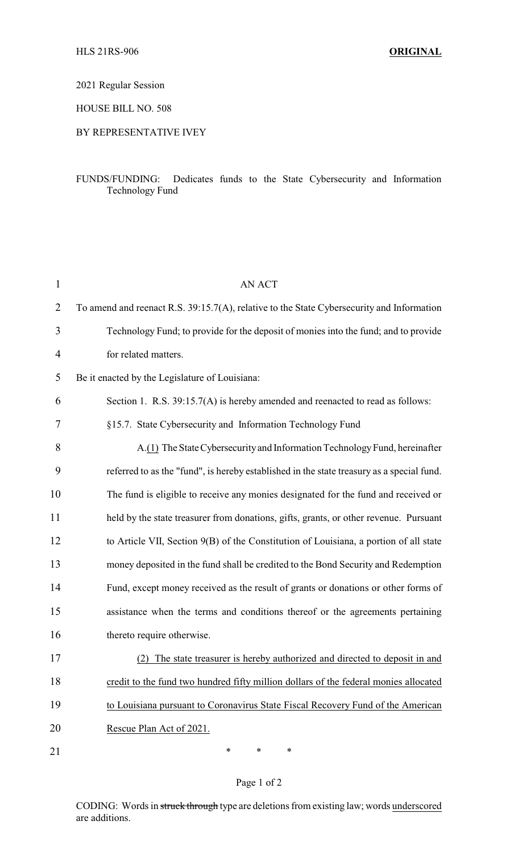## 2021 Regular Session

HOUSE BILL NO. 508

## BY REPRESENTATIVE IVEY

## FUNDS/FUNDING: Dedicates funds to the State Cybersecurity and Information Technology Fund

| $\mathbf{1}$   | <b>AN ACT</b>                                                                             |
|----------------|-------------------------------------------------------------------------------------------|
| $\overline{2}$ | To amend and reenact R.S. 39:15.7(A), relative to the State Cybersecurity and Information |
| 3              | Technology Fund; to provide for the deposit of monies into the fund; and to provide       |
| 4              | for related matters.                                                                      |
| 5              | Be it enacted by the Legislature of Louisiana:                                            |
| 6              | Section 1. R.S. 39:15.7(A) is hereby amended and reenacted to read as follows:            |
| 7              | §15.7. State Cybersecurity and Information Technology Fund                                |
| 8              | A.(1) The State Cybersecurity and Information Technology Fund, hereinafter                |
| 9              | referred to as the "fund", is hereby established in the state treasury as a special fund. |
| 10             | The fund is eligible to receive any monies designated for the fund and received or        |
| 11             | held by the state treasurer from donations, gifts, grants, or other revenue. Pursuant     |
| 12             | to Article VII, Section 9(B) of the Constitution of Louisiana, a portion of all state     |
| 13             | money deposited in the fund shall be credited to the Bond Security and Redemption         |
| 14             | Fund, except money received as the result of grants or donations or other forms of        |
| 15             | assistance when the terms and conditions thereof or the agreements pertaining             |
| 16             | thereto require otherwise.                                                                |
| 17             | (2) The state treasurer is hereby authorized and directed to deposit in and               |
| 18             | credit to the fund two hundred fifty million dollars of the federal monies allocated      |
| 19             | to Louisiana pursuant to Coronavirus State Fiscal Recovery Fund of the American           |
| 20             | Rescue Plan Act of 2021.                                                                  |
| 21             | *<br>∗<br>∗                                                                               |

# Page 1 of 2

CODING: Words in struck through type are deletions from existing law; words underscored are additions.